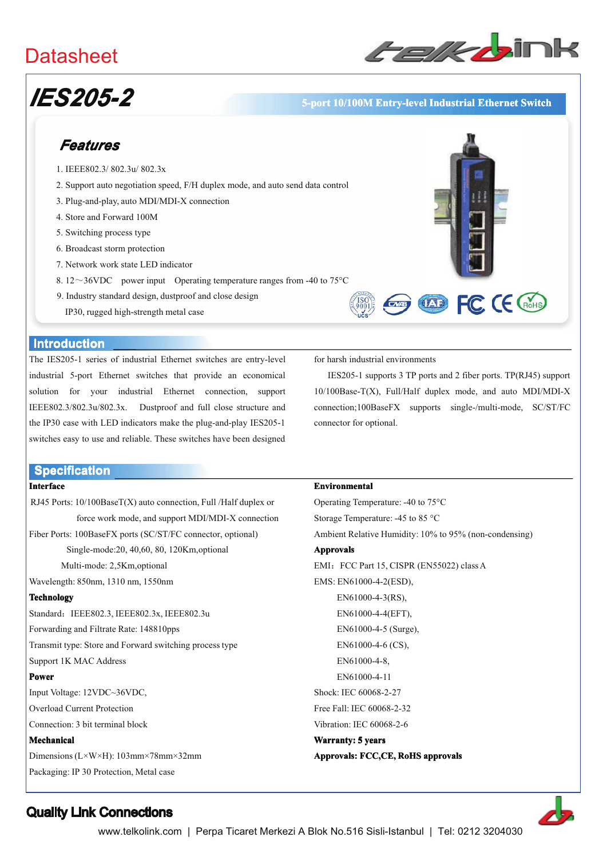## **Datasheet**



# **IES205-2**

### 5-port 10/100M Entry-level Industrial Ethernet Switch

## Features

- 1. IEEE802.3/802.3u/802.3x
- 2. Support auto negotiation speed, F/H duplex mode, and auto send data control
- 3. Plug-and-play, auto MDI/MDI-X connection
- 4. Store and Forward 100M
- 5. Switching process type
- 6. Broadcast storm protection
- 7. Network work state LED indicator
- 8.12~36VDC power input Operating temperature ranges from -40 to 75 $^{\circ}$ C
- 9. Industry standard design, dustproof and close design
	- IP30, rugged high-strength metal case



#### **Introduction**

The IES205-1 series of industrial Ethernet switches are entry-level industrial 5-port Ethernet switches that provide an economical solution for your industrial Ethernet connection, support IEEE802.3/802.3u/802.3x. Dustproof and full close structure and the IP30 case with LED indicators make the plug-and-play IES205-1 switches easy to use and reliable. These switches have been designed

#### **Specification**

#### **Interface**

RJ45 Ports: 10/100BaseT(X) auto connection, Full /Half duplex or force work mode, and support MDI/MDI-X connection

Fiber Ports: 100BaseFX ports (SC/ST/FC connector, optional)

Single-mode:20, 40,60, 80, 120Km,optional

Multi-mode: 2.5Km.optional

Wavelength: 850nm, 1310 nm, 1550nm

#### **Technology**

Standard: IEEE802.3, IEEE802.3x, IEEE802.3u Forwarding and Filtrate Rate: 148810pps Transmit type: Store and Forward switching process type Support 1K MAC Address

#### Power

Input Voltage: 12VDC~36VDC, **Overload Current Protection** Connection: 3 bit terminal block

#### Mechanical

Dimensions ( $L \times W \times H$ ): 103mm×78mm×32mm Packaging: IP 30 Protection, Metal case

for harsh industrial environments

IES205-1 supports 3 TP ports and 2 fiber ports. TP(RJ45) support 10/100Base-T(X), Full/Half duplex mode, and auto MDI/MDI-X connection;100BaseFX supports single-/multi-mode, SC/ST/FC connector for optional.

#### Environmental

Operating Temperature: -40 to 75°C Storage Temperature: -45 to 85 °C Ambient Relative Humidity: 10% to 95% (non-condensing) **Approvals** EMI: FCC Part 15, CISPR (EN55022) class A EMS: EN61000-4-2(ESD), EN61000-4-3(RS), EN61000-4-4(EFT), EN61000-4-5 (Surge), EN61000-4-6 (CS). EN61000-4-8. EN61000-4-11 Shock: IEC 60068-2-27 Free Fall: IEC 60068-2-32 Vibration: IEC 60068-2-6 Warranty: 5 years Approvals: FCC,CE, RoHS approvals